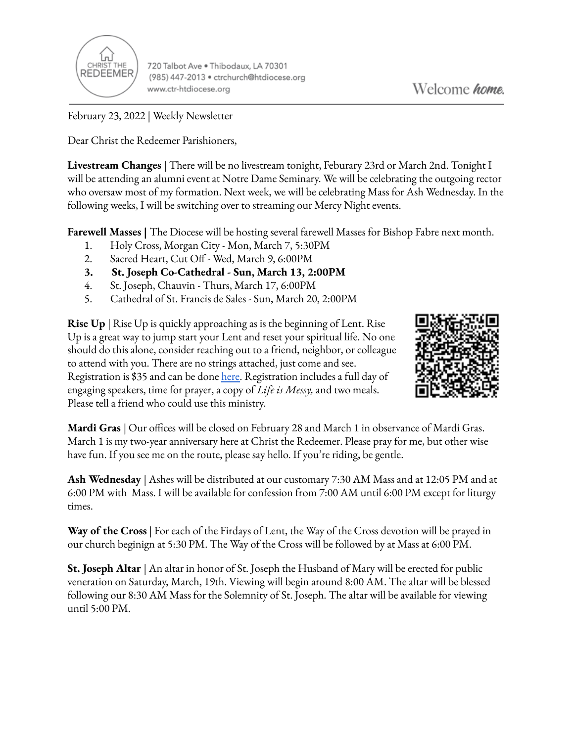

720 Talbot Ave . Thibodaux, LA 70301 (985) 447-2013 · ctrchurch@htdiocese.org www.ctr-htdiocese.org

February 23, 2022 | Weekly Newsletter

Dear Christ the Redeemer Parishioners,

**Livestream Changes** | There will be no livestream tonight, Feburary 23rd or March 2nd. Tonight I will be attending an alumni event at Notre Dame Seminary. We will be celebrating the outgoing rector who oversaw most of my formation. Next week, we will be celebrating Mass for Ash Wednesday. In the following weeks, I will be switching over to streaming our Mercy Night events.

**Farewell Masses |** The Diocese will be hosting several farewell Masses for Bishop Fabre next month.

- 1. Holy Cross, Morgan City Mon, March 7, 5:30PM
- 2. Sacred Heart, Cut Off Wed, March 9, 6:00PM
- **3. St. Joseph Co-Cathedral - Sun, March 13, 2:00PM**
- 4. St. Joseph, Chauvin Thurs, March 17, 6:00PM
- 5. Cathedral of St. Francis de Sales Sun, March 20, 2:00PM

**Rise Up** | Rise Up is quickly approaching as is the beginning of Lent. Rise Up is a great way to jump start your Lent and reset your spiritual life. No one should do this alone, consider reaching out to a friend, neighbor, or colleague to attend with you. There are no strings attached, just come and see. Registration is \$35 and can be done [here.](https://giving.parishsoft.com/App/Form/72b71f4d-90be-49db-9e14-6fdf45ddbf08) Registration includes a full day of engaging speakers, time for prayer, a copy of *Life is Messy,* and two meals. Please tell a friend who could use this ministry.



**Mardi Gras** | Our offices will be closed on February 28 and March 1 in observance of Mardi Gras. March 1 is my two-year anniversary here at Christ the Redeemer. Please pray for me, but other wise have fun. If you see me on the route, please say hello. If you're riding, be gentle.

**Ash Wednesday** | Ashes will be distributed at our customary 7:30 AM Mass and at 12:05 PM and at 6:00 PM with Mass. I will be available for confession from 7:00 AM until 6:00 PM except for liturgy times.

**Way of the Cross** | For each of the Firdays of Lent, the Way of the Cross devotion will be prayed in our church beginign at 5:30 PM. The Way of the Cross will be followed by at Mass at 6:00 PM.

**St. Joseph Altar** | An altar in honor of St. Joseph the Husband of Mary will be erected for public veneration on Saturday, March, 19th. Viewing will begin around 8:00 AM. The altar will be blessed following our 8:30 AM Mass for the Solemnity of St. Joseph. The altar will be available for viewing until 5:00 PM.